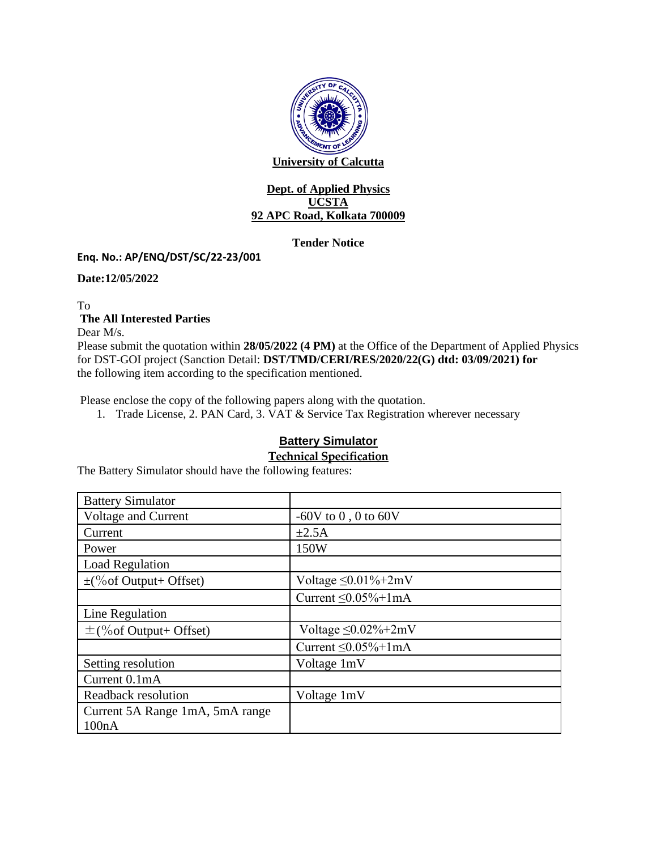

### **Dept. of Applied Physics UCSTA 92 APC Road, Kolkata 700009**

## **Tender Notice**

## **Enq. No.: AP/ENQ/DST/SC/22-23/001**

**Date:12/05/2022**

To **The All Interested Parties** 

Dear M/s.

Please submit the quotation within **28/05/2022 (4 PM)** at the Office of the Department of Applied Physics for DST-GOI project (Sanction Detail: **DST/TMD/CERI/RES/2020/22(G) dtd: 03/09/2021) for** the following item according to the specification mentioned.

Please enclose the copy of the following papers along with the quotation.

1. Trade License, 2. PAN Card, 3. VAT & Service Tax Registration wherever necessary

# **Battery Simulator**

#### **Technical Specification**

The Battery Simulator should have the following features:

| <b>Battery Simulator</b>        |                             |
|---------------------------------|-----------------------------|
| Voltage and Current             | -60V to $0$ , $0$ to $60V$  |
| Current                         | $\pm 2.5A$                  |
| Power                           | 150W                        |
| <b>Load Regulation</b>          |                             |
| $\pm$ (% of Output+ Offset)     | Voltage $\leq 0.01\% + 2mV$ |
|                                 | Current $\leq 0.05\% + 1mA$ |
| Line Regulation                 |                             |
| $\pm$ (% of Output+ Offset)     | Voltage $\leq 0.02\%+2mV$   |
|                                 | Current $\leq 0.05\% + 1mA$ |
| Setting resolution              | Voltage 1mV                 |
| Current 0.1mA                   |                             |
| Readback resolution             | Voltage 1mV                 |
| Current 5A Range 1mA, 5mA range |                             |
| 100nA                           |                             |